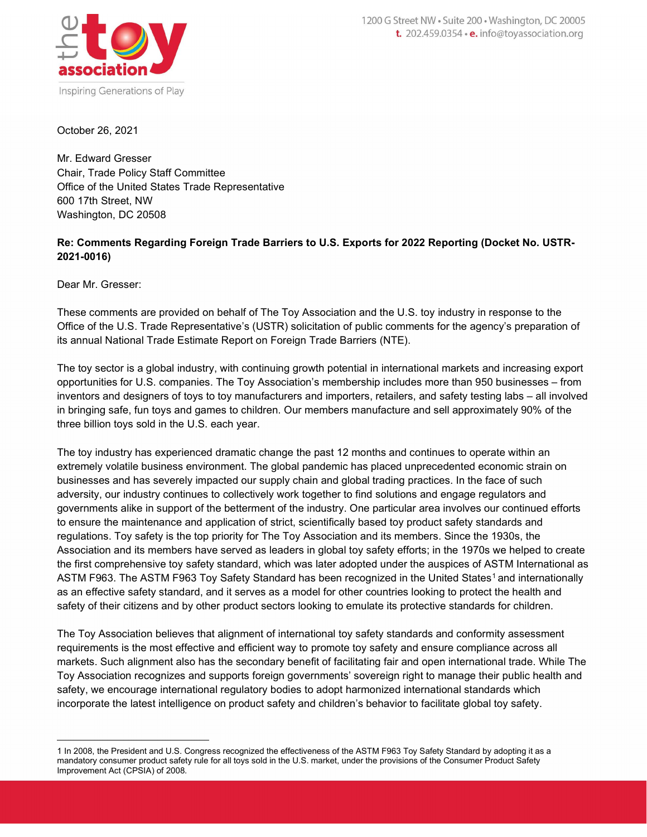

October 26, 2021

Mr. Edward Gresser Chair, Trade Policy Staff Committee Office of the United States Trade Representative 600 17th Street, NW Washington, DC 20508

# Re: Comments Regarding Foreign Trade Barriers to U.S. Exports for 2022 Reporting (Docket No. USTR-2021-0016)

Dear Mr. Gresser:

These comments are provided on behalf of The Toy Association and the U.S. toy industry in response to the Office of the U.S. Trade Representative's (USTR) solicitation of public comments for the agency's preparation of its annual National Trade Estimate Report on Foreign Trade Barriers (NTE).

The toy sector is a global industry, with continuing growth potential in international markets and increasing export opportunities for U.S. companies. The Toy Association's membership includes more than 950 businesses – from inventors and designers of toys to toy manufacturers and importers, retailers, and safety testing labs – all involved in bringing safe, fun toys and games to children. Our members manufacture and sell approximately 90% of the three billion toys sold in the U.S. each year.

The toy industry has experienced dramatic change the past 12 months and continues to operate within an extremely volatile business environment. The global pandemic has placed unprecedented economic strain on businesses and has severely impacted our supply chain and global trading practices. In the face of such adversity, our industry continues to collectively work together to find solutions and engage regulators and governments alike in support of the betterment of the industry. One particular area involves our continued efforts to ensure the maintenance and application of strict, scientifically based toy product safety standards and regulations. Toy safety is the top priority for The Toy Association and its members. Since the 1930s, the Association and its members have served as leaders in global toy safety efforts; in the 1970s we helped to create the first comprehensive toy safety standard, which was later adopted under the auspices of ASTM International as ASTM F963. The ASTM F963 Toy Safety Standard has been recognized in the United States<sup>1</sup> and internationally as an effective safety standard, and it serves as a model for other countries looking to protect the health and safety of their citizens and by other product sectors looking to emulate its protective standards for children.

The Toy Association believes that alignment of international toy safety standards and conformity assessment requirements is the most effective and efficient way to promote toy safety and ensure compliance across all markets. Such alignment also has the secondary benefit of facilitating fair and open international trade. While The Toy Association recognizes and supports foreign governments' sovereign right to manage their public health and safety, we encourage international regulatory bodies to adopt harmonized international standards which incorporate the latest intelligence on product safety and children's behavior to facilitate global toy safety.

<sup>1</sup> In 2008, the President and U.S. Congress recognized the effectiveness of the ASTM F963 Toy Safety Standard by adopting it as a mandatory consumer product safety rule for all toys sold in the U.S. market, under the provisions of the Consumer Product Safety Improvement Act (CPSIA) of 2008.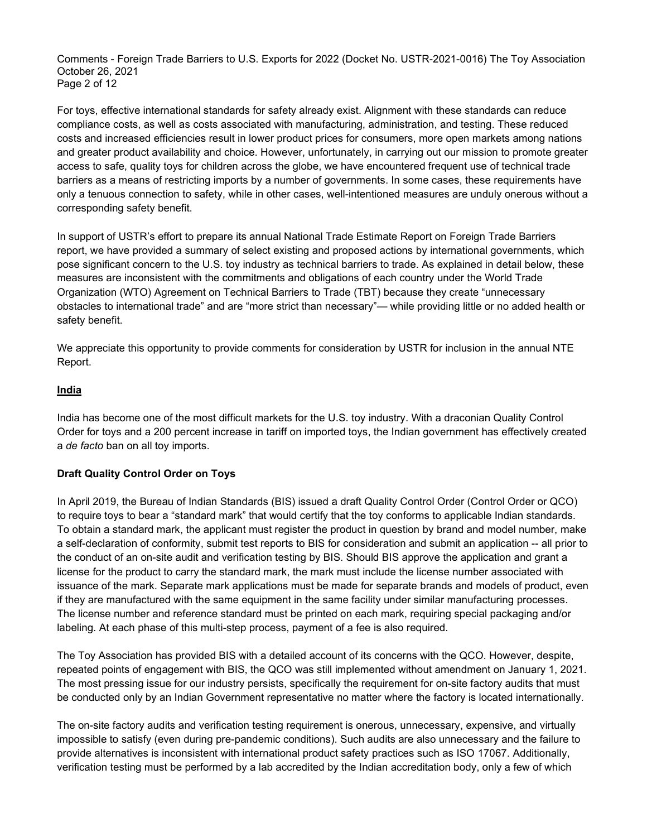Comments - Foreign Trade Barriers to U.S. Exports for 2022 (Docket No. USTR-2021-0016) The Toy Association October 26, 2021 Page 2 of 12

For toys, effective international standards for safety already exist. Alignment with these standards can reduce compliance costs, as well as costs associated with manufacturing, administration, and testing. These reduced costs and increased efficiencies result in lower product prices for consumers, more open markets among nations and greater product availability and choice. However, unfortunately, in carrying out our mission to promote greater access to safe, quality toys for children across the globe, we have encountered frequent use of technical trade barriers as a means of restricting imports by a number of governments. In some cases, these requirements have only a tenuous connection to safety, while in other cases, well-intentioned measures are unduly onerous without a corresponding safety benefit.

In support of USTR's effort to prepare its annual National Trade Estimate Report on Foreign Trade Barriers report, we have provided a summary of select existing and proposed actions by international governments, which pose significant concern to the U.S. toy industry as technical barriers to trade. As explained in detail below, these measures are inconsistent with the commitments and obligations of each country under the World Trade Organization (WTO) Agreement on Technical Barriers to Trade (TBT) because they create "unnecessary obstacles to international trade" and are "more strict than necessary"— while providing little or no added health or safety benefit.

We appreciate this opportunity to provide comments for consideration by USTR for inclusion in the annual NTE Report.

#### India

India has become one of the most difficult markets for the U.S. toy industry. With a draconian Quality Control Order for toys and a 200 percent increase in tariff on imported toys, the Indian government has effectively created a de facto ban on all toy imports.

### Draft Quality Control Order on Toys

In April 2019, the Bureau of Indian Standards (BIS) issued a draft Quality Control Order (Control Order or QCO) to require toys to bear a "standard mark" that would certify that the toy conforms to applicable Indian standards. To obtain a standard mark, the applicant must register the product in question by brand and model number, make a self-declaration of conformity, submit test reports to BIS for consideration and submit an application -- all prior to the conduct of an on-site audit and verification testing by BIS. Should BIS approve the application and grant a license for the product to carry the standard mark, the mark must include the license number associated with issuance of the mark. Separate mark applications must be made for separate brands and models of product, even if they are manufactured with the same equipment in the same facility under similar manufacturing processes. The license number and reference standard must be printed on each mark, requiring special packaging and/or labeling. At each phase of this multi-step process, payment of a fee is also required.

The Toy Association has provided BIS with a detailed account of its concerns with the QCO. However, despite, repeated points of engagement with BIS, the QCO was still implemented without amendment on January 1, 2021. The most pressing issue for our industry persists, specifically the requirement for on-site factory audits that must be conducted only by an Indian Government representative no matter where the factory is located internationally.

The on-site factory audits and verification testing requirement is onerous, unnecessary, expensive, and virtually impossible to satisfy (even during pre-pandemic conditions). Such audits are also unnecessary and the failure to provide alternatives is inconsistent with international product safety practices such as ISO 17067. Additionally, verification testing must be performed by a lab accredited by the Indian accreditation body, only a few of which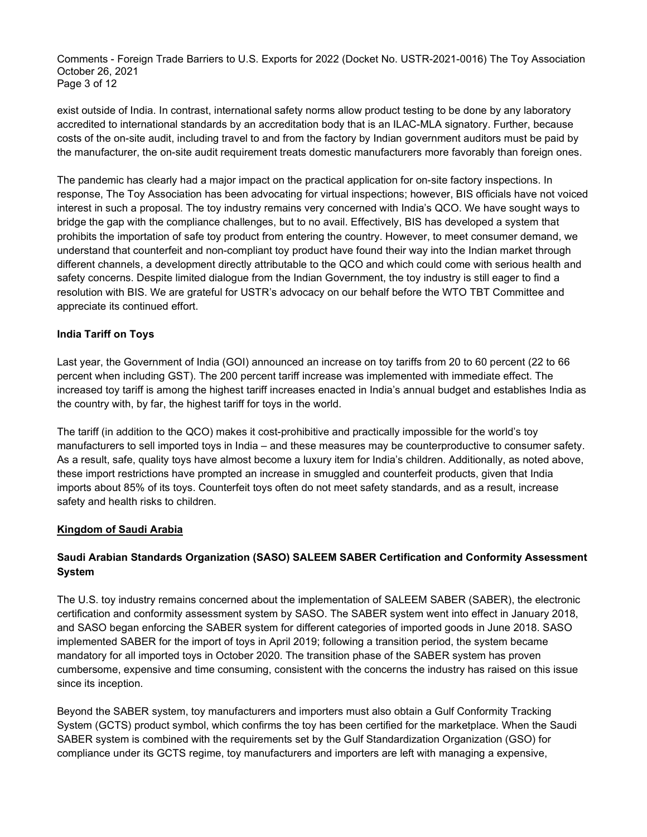Comments - Foreign Trade Barriers to U.S. Exports for 2022 (Docket No. USTR-2021-0016) The Toy Association October 26, 2021 Page 3 of 12

exist outside of India. In contrast, international safety norms allow product testing to be done by any laboratory accredited to international standards by an accreditation body that is an ILAC-MLA signatory. Further, because costs of the on-site audit, including travel to and from the factory by Indian government auditors must be paid by the manufacturer, the on-site audit requirement treats domestic manufacturers more favorably than foreign ones.

The pandemic has clearly had a major impact on the practical application for on-site factory inspections. In response, The Toy Association has been advocating for virtual inspections; however, BIS officials have not voiced interest in such a proposal. The toy industry remains very concerned with India's QCO. We have sought ways to bridge the gap with the compliance challenges, but to no avail. Effectively, BIS has developed a system that prohibits the importation of safe toy product from entering the country. However, to meet consumer demand, we understand that counterfeit and non-compliant toy product have found their way into the Indian market through different channels, a development directly attributable to the QCO and which could come with serious health and safety concerns. Despite limited dialogue from the Indian Government, the toy industry is still eager to find a resolution with BIS. We are grateful for USTR's advocacy on our behalf before the WTO TBT Committee and appreciate its continued effort.

## India Tariff on Toys

Last year, the Government of India (GOI) announced an increase on toy tariffs from 20 to 60 percent (22 to 66 percent when including GST). The 200 percent tariff increase was implemented with immediate effect. The increased toy tariff is among the highest tariff increases enacted in India's annual budget and establishes India as the country with, by far, the highest tariff for toys in the world.

The tariff (in addition to the QCO) makes it cost-prohibitive and practically impossible for the world's toy manufacturers to sell imported toys in India – and these measures may be counterproductive to consumer safety. As a result, safe, quality toys have almost become a luxury item for India's children. Additionally, as noted above, these import restrictions have prompted an increase in smuggled and counterfeit products, given that India imports about 85% of its toys. Counterfeit toys often do not meet safety standards, and as a result, increase safety and health risks to children.

### Kingdom of Saudi Arabia

## Saudi Arabian Standards Organization (SASO) SALEEM SABER Certification and Conformity Assessment System

The U.S. toy industry remains concerned about the implementation of SALEEM SABER (SABER), the electronic certification and conformity assessment system by SASO. The SABER system went into effect in January 2018, and SASO began enforcing the SABER system for different categories of imported goods in June 2018. SASO implemented SABER for the import of toys in April 2019; following a transition period, the system became mandatory for all imported toys in October 2020. The transition phase of the SABER system has proven cumbersome, expensive and time consuming, consistent with the concerns the industry has raised on this issue since its inception.

Beyond the SABER system, toy manufacturers and importers must also obtain a Gulf Conformity Tracking System (GCTS) product symbol, which confirms the toy has been certified for the marketplace. When the Saudi SABER system is combined with the requirements set by the Gulf Standardization Organization (GSO) for compliance under its GCTS regime, toy manufacturers and importers are left with managing a expensive,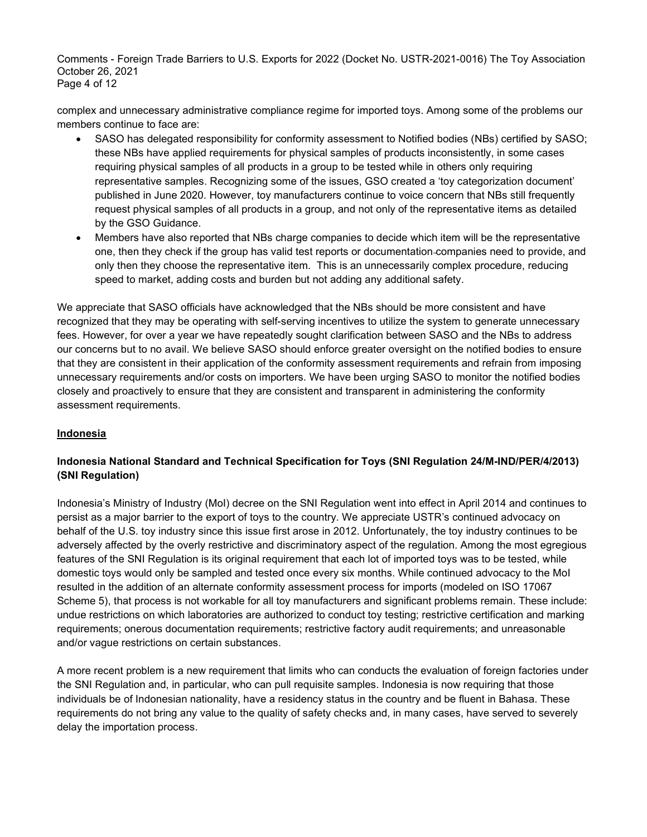Comments - Foreign Trade Barriers to U.S. Exports for 2022 (Docket No. USTR-2021-0016) The Toy Association October 26, 2021 Page 4 of 12

complex and unnecessary administrative compliance regime for imported toys. Among some of the problems our members continue to face are:

- SASO has delegated responsibility for conformity assessment to Notified bodies (NBs) certified by SASO; these NBs have applied requirements for physical samples of products inconsistently, in some cases requiring physical samples of all products in a group to be tested while in others only requiring representative samples. Recognizing some of the issues, GSO created a 'toy categorization document' published in June 2020. However, toy manufacturers continue to voice concern that NBs still frequently request physical samples of all products in a group, and not only of the representative items as detailed by the GSO Guidance.
- Members have also reported that NBs charge companies to decide which item will be the representative one, then they check if the group has valid test reports or documentation companies need to provide, and only then they choose the representative item. This is an unnecessarily complex procedure, reducing speed to market, adding costs and burden but not adding any additional safety.

We appreciate that SASO officials have acknowledged that the NBs should be more consistent and have recognized that they may be operating with self-serving incentives to utilize the system to generate unnecessary fees. However, for over a year we have repeatedly sought clarification between SASO and the NBs to address our concerns but to no avail. We believe SASO should enforce greater oversight on the notified bodies to ensure that they are consistent in their application of the conformity assessment requirements and refrain from imposing unnecessary requirements and/or costs on importers. We have been urging SASO to monitor the notified bodies closely and proactively to ensure that they are consistent and transparent in administering the conformity assessment requirements.

### Indonesia

## Indonesia National Standard and Technical Specification for Toys (SNI Regulation 24/M-IND/PER/4/2013) (SNI Regulation)

Indonesia's Ministry of Industry (MoI) decree on the SNI Regulation went into effect in April 2014 and continues to persist as a major barrier to the export of toys to the country. We appreciate USTR's continued advocacy on behalf of the U.S. toy industry since this issue first arose in 2012. Unfortunately, the toy industry continues to be adversely affected by the overly restrictive and discriminatory aspect of the regulation. Among the most egregious features of the SNI Regulation is its original requirement that each lot of imported toys was to be tested, while domestic toys would only be sampled and tested once every six months. While continued advocacy to the MoI resulted in the addition of an alternate conformity assessment process for imports (modeled on ISO 17067 Scheme 5), that process is not workable for all toy manufacturers and significant problems remain. These include: undue restrictions on which laboratories are authorized to conduct toy testing; restrictive certification and marking requirements; onerous documentation requirements; restrictive factory audit requirements; and unreasonable and/or vague restrictions on certain substances.

A more recent problem is a new requirement that limits who can conducts the evaluation of foreign factories under the SNI Regulation and, in particular, who can pull requisite samples. Indonesia is now requiring that those individuals be of Indonesian nationality, have a residency status in the country and be fluent in Bahasa. These requirements do not bring any value to the quality of safety checks and, in many cases, have served to severely delay the importation process.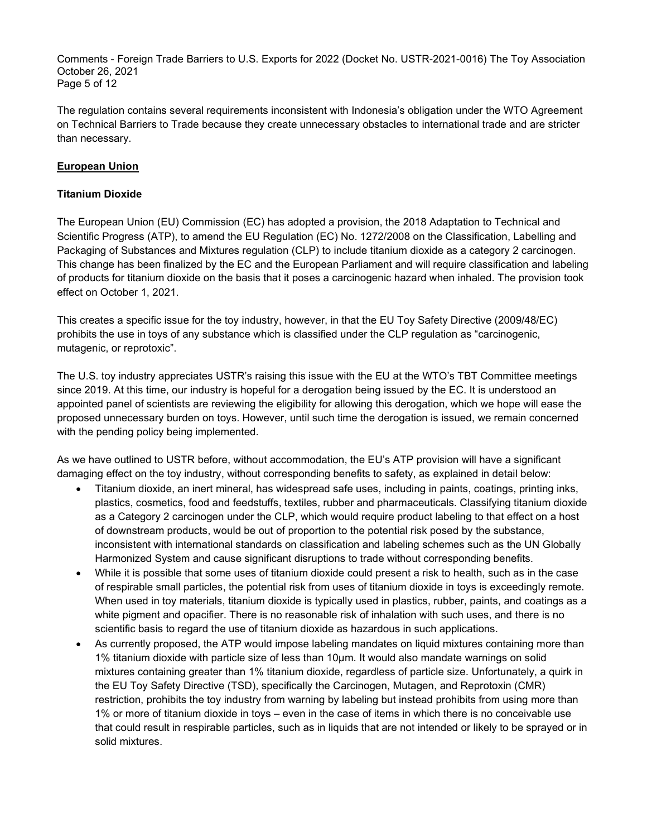Comments - Foreign Trade Barriers to U.S. Exports for 2022 (Docket No. USTR-2021-0016) The Toy Association October 26, 2021 Page 5 of 12

The regulation contains several requirements inconsistent with Indonesia's obligation under the WTO Agreement on Technical Barriers to Trade because they create unnecessary obstacles to international trade and are stricter than necessary.

### European Union

### Titanium Dioxide

The European Union (EU) Commission (EC) has adopted a provision, the 2018 Adaptation to Technical and Scientific Progress (ATP), to amend the EU Regulation (EC) No. 1272/2008 on the Classification, Labelling and Packaging of Substances and Mixtures regulation (CLP) to include titanium dioxide as a category 2 carcinogen. This change has been finalized by the EC and the European Parliament and will require classification and labeling of products for titanium dioxide on the basis that it poses a carcinogenic hazard when inhaled. The provision took effect on October 1, 2021.

This creates a specific issue for the toy industry, however, in that the EU Toy Safety Directive (2009/48/EC) prohibits the use in toys of any substance which is classified under the CLP regulation as "carcinogenic, mutagenic, or reprotoxic".

The U.S. toy industry appreciates USTR's raising this issue with the EU at the WTO's TBT Committee meetings since 2019. At this time, our industry is hopeful for a derogation being issued by the EC. It is understood an appointed panel of scientists are reviewing the eligibility for allowing this derogation, which we hope will ease the proposed unnecessary burden on toys. However, until such time the derogation is issued, we remain concerned with the pending policy being implemented.

As we have outlined to USTR before, without accommodation, the EU's ATP provision will have a significant damaging effect on the toy industry, without corresponding benefits to safety, as explained in detail below:

- Titanium dioxide, an inert mineral, has widespread safe uses, including in paints, coatings, printing inks, plastics, cosmetics, food and feedstuffs, textiles, rubber and pharmaceuticals. Classifying titanium dioxide as a Category 2 carcinogen under the CLP, which would require product labeling to that effect on a host of downstream products, would be out of proportion to the potential risk posed by the substance, inconsistent with international standards on classification and labeling schemes such as the UN Globally Harmonized System and cause significant disruptions to trade without corresponding benefits.
- While it is possible that some uses of titanium dioxide could present a risk to health, such as in the case of respirable small particles, the potential risk from uses of titanium dioxide in toys is exceedingly remote. When used in toy materials, titanium dioxide is typically used in plastics, rubber, paints, and coatings as a white pigment and opacifier. There is no reasonable risk of inhalation with such uses, and there is no scientific basis to regard the use of titanium dioxide as hazardous in such applications.
- As currently proposed, the ATP would impose labeling mandates on liquid mixtures containing more than 1% titanium dioxide with particle size of less than 10µm. It would also mandate warnings on solid mixtures containing greater than 1% titanium dioxide, regardless of particle size. Unfortunately, a quirk in the EU Toy Safety Directive (TSD), specifically the Carcinogen, Mutagen, and Reprotoxin (CMR) restriction, prohibits the toy industry from warning by labeling but instead prohibits from using more than 1% or more of titanium dioxide in toys – even in the case of items in which there is no conceivable use that could result in respirable particles, such as in liquids that are not intended or likely to be sprayed or in solid mixtures.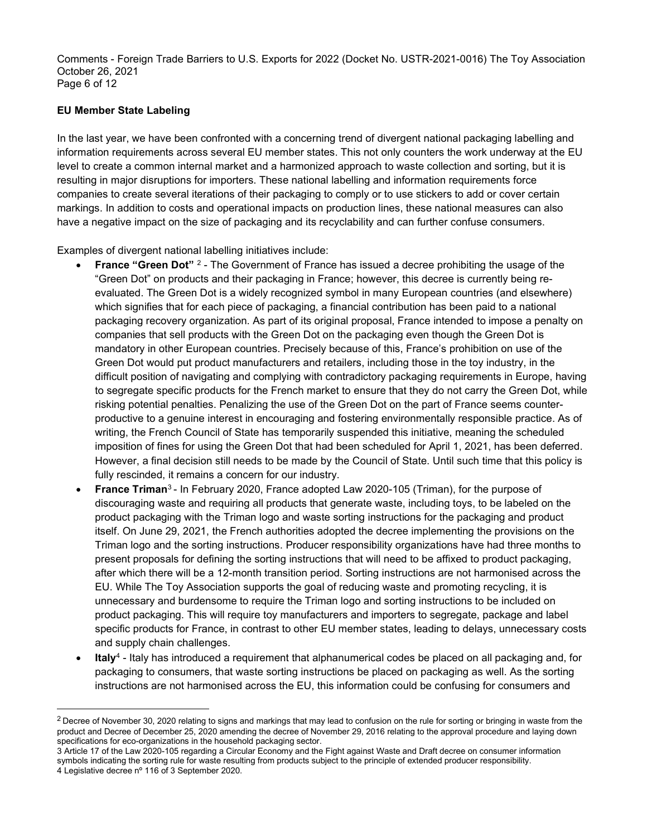Comments - Foreign Trade Barriers to U.S. Exports for 2022 (Docket No. USTR-2021-0016) The Toy Association October 26, 2021 Page 6 of 12

## EU Member State Labeling

In the last year, we have been confronted with a concerning trend of divergent national packaging labelling and information requirements across several EU member states. This not only counters the work underway at the EU level to create a common internal market and a harmonized approach to waste collection and sorting, but it is resulting in major disruptions for importers. These national labelling and information requirements force companies to create several iterations of their packaging to comply or to use stickers to add or cover certain markings. In addition to costs and operational impacts on production lines, these national measures can also have a negative impact on the size of packaging and its recyclability and can further confuse consumers.

Examples of divergent national labelling initiatives include:

- **France "Green Dot"**  $2$  The Government of France has issued a decree prohibiting the usage of the "Green Dot" on products and their packaging in France; however, this decree is currently being reevaluated. The Green Dot is a widely recognized symbol in many European countries (and elsewhere) which signifies that for each piece of packaging, a financial contribution has been paid to a national packaging recovery organization. As part of its original proposal, France intended to impose a penalty on companies that sell products with the Green Dot on the packaging even though the Green Dot is mandatory in other European countries. Precisely because of this, France's prohibition on use of the Green Dot would put product manufacturers and retailers, including those in the toy industry, in the difficult position of navigating and complying with contradictory packaging requirements in Europe, having to segregate specific products for the French market to ensure that they do not carry the Green Dot, while risking potential penalties. Penalizing the use of the Green Dot on the part of France seems counterproductive to a genuine interest in encouraging and fostering environmentally responsible practice. As of writing, the French Council of State has temporarily suspended this initiative, meaning the scheduled imposition of fines for using the Green Dot that had been scheduled for April 1, 2021, has been deferred. However, a final decision still needs to be made by the Council of State. Until such time that this policy is fully rescinded, it remains a concern for our industry.
- France Triman<sup>3</sup> In February 2020, France adopted Law 2020-105 (Triman), for the purpose of discouraging waste and requiring all products that generate waste, including toys, to be labeled on the product packaging with the Triman logo and waste sorting instructions for the packaging and product itself. On June 29, 2021, the French authorities adopted the decree implementing the provisions on the Triman logo and the sorting instructions. Producer responsibility organizations have had three months to present proposals for defining the sorting instructions that will need to be affixed to product packaging, after which there will be a 12-month transition period. Sorting instructions are not harmonised across the EU. While The Toy Association supports the goal of reducing waste and promoting recycling, it is unnecessary and burdensome to require the Triman logo and sorting instructions to be included on product packaging. This will require toy manufacturers and importers to segregate, package and label specific products for France, in contrast to other EU member states, leading to delays, unnecessary costs and supply chain challenges.
- $\bullet$  Italy<sup>4</sup> Italy has introduced a requirement that alphanumerical codes be placed on all packaging and, for packaging to consumers, that waste sorting instructions be placed on packaging as well. As the sorting instructions are not harmonised across the EU, this information could be confusing for consumers and

 $2$  Decree of November 30, 2020 relating to signs and markings that may lead to confusion on the rule for sorting or bringing in waste from the product and Decree of December 25, 2020 amending the decree of November 29, 2016 relating to the approval procedure and laying down specifications for eco-organizations in the household packaging sector.

<sup>3</sup> Article 17 of the Law 2020-105 regarding a Circular Economy and the Fight against Waste and Draft decree on consumer information symbols indicating the sorting rule for waste resulting from products subject to the principle of extended producer responsibility. 4 Legislative decree nº 116 of 3 September 2020.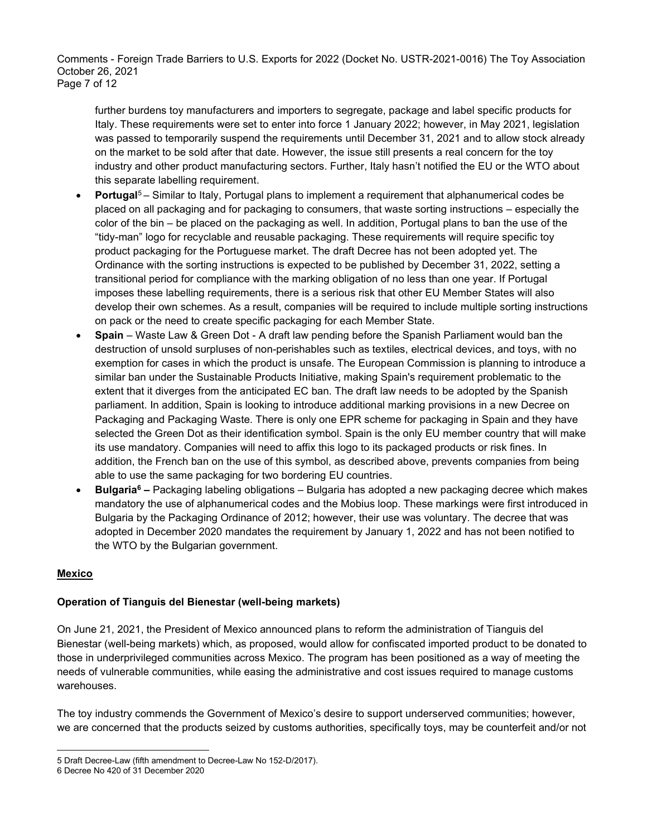Comments - Foreign Trade Barriers to U.S. Exports for 2022 (Docket No. USTR-2021-0016) The Toy Association October 26, 2021 Page 7 of 12

further burdens toy manufacturers and importers to segregate, package and label specific products for Italy. These requirements were set to enter into force 1 January 2022; however, in May 2021, legislation was passed to temporarily suspend the requirements until December 31, 2021 and to allow stock already on the market to be sold after that date. However, the issue still presents a real concern for the toy industry and other product manufacturing sectors. Further, Italy hasn't notified the EU or the WTO about this separate labelling requirement.

- Portugal<sup>5</sup> Similar to Italy, Portugal plans to implement a requirement that alphanumerical codes be placed on all packaging and for packaging to consumers, that waste sorting instructions ‒ especially the color of the bin – be placed on the packaging as well. In addition, Portugal plans to ban the use of the "tidy-man" logo for recyclable and reusable packaging. These requirements will require specific toy product packaging for the Portuguese market. The draft Decree has not been adopted yet. The Ordinance with the sorting instructions is expected to be published by December 31, 2022, setting a transitional period for compliance with the marking obligation of no less than one year. If Portugal imposes these labelling requirements, there is a serious risk that other EU Member States will also develop their own schemes. As a result, companies will be required to include multiple sorting instructions on pack or the need to create specific packaging for each Member State.
- Spain Waste Law & Green Dot A draft law pending before the Spanish Parliament would ban the destruction of unsold surpluses of non-perishables such as textiles, electrical devices, and toys, with no exemption for cases in which the product is unsafe. The European Commission is planning to introduce a similar ban under the Sustainable Products Initiative, making Spain's requirement problematic to the extent that it diverges from the anticipated EC ban. The draft law needs to be adopted by the Spanish parliament. In addition, Spain is looking to introduce additional marking provisions in a new Decree on Packaging and Packaging Waste. There is only one EPR scheme for packaging in Spain and they have selected the Green Dot as their identification symbol. Spain is the only EU member country that will make its use mandatory. Companies will need to affix this logo to its packaged products or risk fines. In addition, the French ban on the use of this symbol, as described above, prevents companies from being able to use the same packaging for two bordering EU countries.
- **Bulgaria<sup>6</sup>** Packaging labeling obligations Bulgaria has adopted a new packaging decree which makes mandatory the use of alphanumerical codes and the Mobius loop. These markings were first introduced in Bulgaria by the Packaging Ordinance of 2012; however, their use was voluntary. The decree that was adopted in December 2020 mandates the requirement by January 1, 2022 and has not been notified to the WTO by the Bulgarian government.

### Mexico

# Operation of Tianguis del Bienestar (well-being markets)

On June 21, 2021, the President of Mexico announced plans to reform the administration of Tianguis del Bienestar (well-being markets) which, as proposed, would allow for confiscated imported product to be donated to those in underprivileged communities across Mexico. The program has been positioned as a way of meeting the needs of vulnerable communities, while easing the administrative and cost issues required to manage customs warehouses.

The toy industry commends the Government of Mexico's desire to support underserved communities; however, we are concerned that the products seized by customs authorities, specifically toys, may be counterfeit and/or not

<sup>5</sup> Draft Decree-Law (fifth amendment to Decree-Law No 152-D/2017).

<sup>6</sup> Decree No 420 of 31 December 2020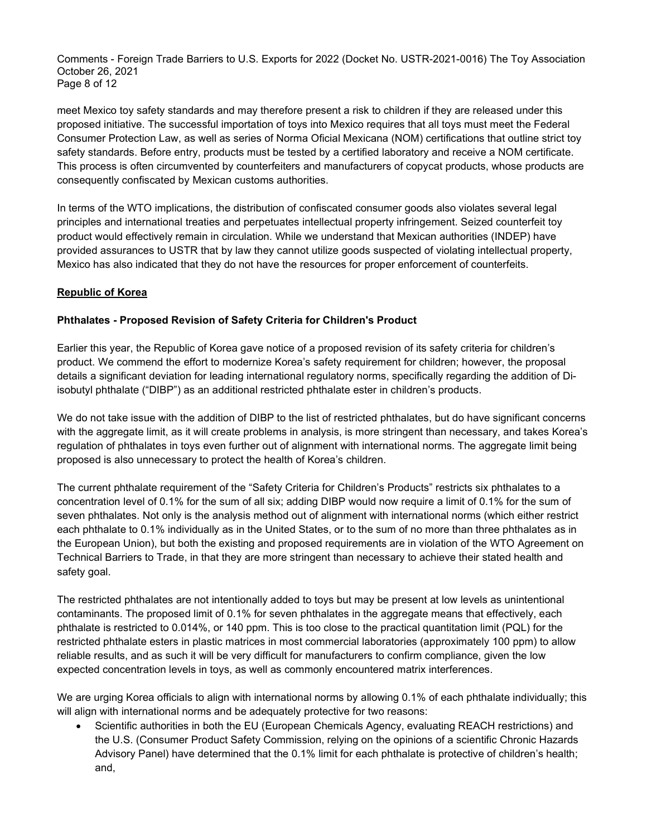Comments - Foreign Trade Barriers to U.S. Exports for 2022 (Docket No. USTR-2021-0016) The Toy Association October 26, 2021 Page 8 of 12

meet Mexico toy safety standards and may therefore present a risk to children if they are released under this proposed initiative. The successful importation of toys into Mexico requires that all toys must meet the Federal Consumer Protection Law, as well as series of Norma Oficial Mexicana (NOM) certifications that outline strict toy safety standards. Before entry, products must be tested by a certified laboratory and receive a NOM certificate. This process is often circumvented by counterfeiters and manufacturers of copycat products, whose products are consequently confiscated by Mexican customs authorities.

In terms of the WTO implications, the distribution of confiscated consumer goods also violates several legal principles and international treaties and perpetuates intellectual property infringement. Seized counterfeit toy product would effectively remain in circulation. While we understand that Mexican authorities (INDEP) have provided assurances to USTR that by law they cannot utilize goods suspected of violating intellectual property, Mexico has also indicated that they do not have the resources for proper enforcement of counterfeits.

## Republic of Korea

## Phthalates - Proposed Revision of Safety Criteria for Children's Product

Earlier this year, the Republic of Korea gave notice of a proposed revision of its safety criteria for children's product. We commend the effort to modernize Korea's safety requirement for children; however, the proposal details a significant deviation for leading international regulatory norms, specifically regarding the addition of Diisobutyl phthalate ("DIBP") as an additional restricted phthalate ester in children's products.

We do not take issue with the addition of DIBP to the list of restricted phthalates, but do have significant concerns with the aggregate limit, as it will create problems in analysis, is more stringent than necessary, and takes Korea's regulation of phthalates in toys even further out of alignment with international norms. The aggregate limit being proposed is also unnecessary to protect the health of Korea's children.

The current phthalate requirement of the "Safety Criteria for Children's Products" restricts six phthalates to a concentration level of 0.1% for the sum of all six; adding DIBP would now require a limit of 0.1% for the sum of seven phthalates. Not only is the analysis method out of alignment with international norms (which either restrict each phthalate to 0.1% individually as in the United States, or to the sum of no more than three phthalates as in the European Union), but both the existing and proposed requirements are in violation of the WTO Agreement on Technical Barriers to Trade, in that they are more stringent than necessary to achieve their stated health and safety goal.

The restricted phthalates are not intentionally added to toys but may be present at low levels as unintentional contaminants. The proposed limit of 0.1% for seven phthalates in the aggregate means that effectively, each phthalate is restricted to 0.014%, or 140 ppm. This is too close to the practical quantitation limit (PQL) for the restricted phthalate esters in plastic matrices in most commercial laboratories (approximately 100 ppm) to allow reliable results, and as such it will be very difficult for manufacturers to confirm compliance, given the low expected concentration levels in toys, as well as commonly encountered matrix interferences.

We are urging Korea officials to align with international norms by allowing 0.1% of each phthalate individually; this will align with international norms and be adequately protective for two reasons:

 Scientific authorities in both the EU (European Chemicals Agency, evaluating REACH restrictions) and the U.S. (Consumer Product Safety Commission, relying on the opinions of a scientific Chronic Hazards Advisory Panel) have determined that the 0.1% limit for each phthalate is protective of children's health; and,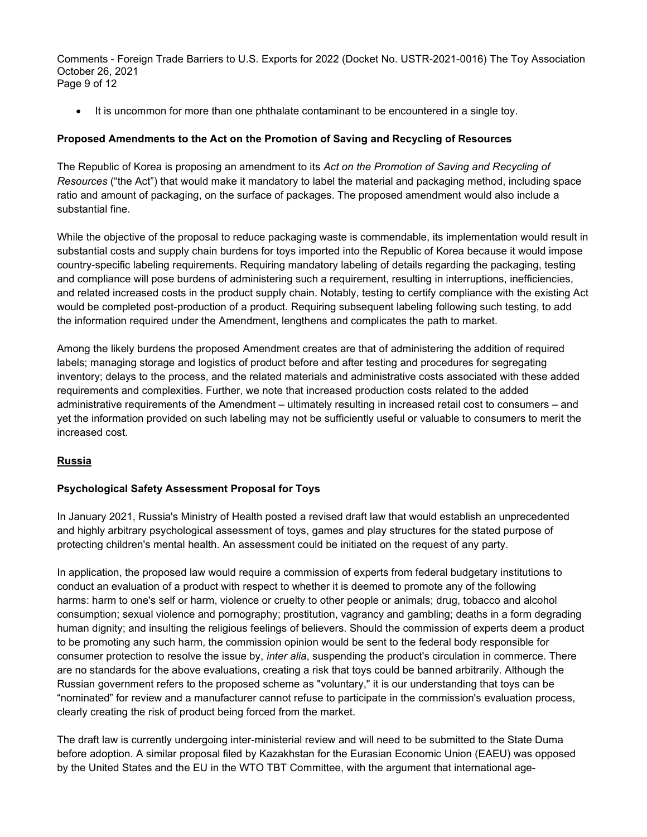Comments - Foreign Trade Barriers to U.S. Exports for 2022 (Docket No. USTR-2021-0016) The Toy Association October 26, 2021 Page 9 of 12

• It is uncommon for more than one phthalate contaminant to be encountered in a single toy.

## Proposed Amendments to the Act on the Promotion of Saving and Recycling of Resources

The Republic of Korea is proposing an amendment to its Act on the Promotion of Saving and Recycling of Resources ("the Act") that would make it mandatory to label the material and packaging method, including space ratio and amount of packaging, on the surface of packages. The proposed amendment would also include a substantial fine.

While the objective of the proposal to reduce packaging waste is commendable, its implementation would result in substantial costs and supply chain burdens for toys imported into the Republic of Korea because it would impose country-specific labeling requirements. Requiring mandatory labeling of details regarding the packaging, testing and compliance will pose burdens of administering such a requirement, resulting in interruptions, inefficiencies, and related increased costs in the product supply chain. Notably, testing to certify compliance with the existing Act would be completed post-production of a product. Requiring subsequent labeling following such testing, to add the information required under the Amendment, lengthens and complicates the path to market.

Among the likely burdens the proposed Amendment creates are that of administering the addition of required labels; managing storage and logistics of product before and after testing and procedures for segregating inventory; delays to the process, and the related materials and administrative costs associated with these added requirements and complexities. Further, we note that increased production costs related to the added administrative requirements of the Amendment – ultimately resulting in increased retail cost to consumers – and yet the information provided on such labeling may not be sufficiently useful or valuable to consumers to merit the increased cost.

# Russia

### Psychological Safety Assessment Proposal for Toys

In January 2021, Russia's Ministry of Health posted a revised draft law that would establish an unprecedented and highly arbitrary psychological assessment of toys, games and play structures for the stated purpose of protecting children's mental health. An assessment could be initiated on the request of any party.

In application, the proposed law would require a commission of experts from federal budgetary institutions to conduct an evaluation of a product with respect to whether it is deemed to promote any of the following harms: harm to one's self or harm, violence or cruelty to other people or animals; drug, tobacco and alcohol consumption; sexual violence and pornography; prostitution, vagrancy and gambling; deaths in a form degrading human dignity; and insulting the religious feelings of believers. Should the commission of experts deem a product to be promoting any such harm, the commission opinion would be sent to the federal body responsible for consumer protection to resolve the issue by, inter alia, suspending the product's circulation in commerce. There are no standards for the above evaluations, creating a risk that toys could be banned arbitrarily. Although the Russian government refers to the proposed scheme as "voluntary," it is our understanding that toys can be "nominated" for review and a manufacturer cannot refuse to participate in the commission's evaluation process, clearly creating the risk of product being forced from the market.

The draft law is currently undergoing inter-ministerial review and will need to be submitted to the State Duma before adoption. A similar proposal filed by Kazakhstan for the Eurasian Economic Union (EAEU) was opposed by the United States and the EU in the WTO TBT Committee, with the argument that international age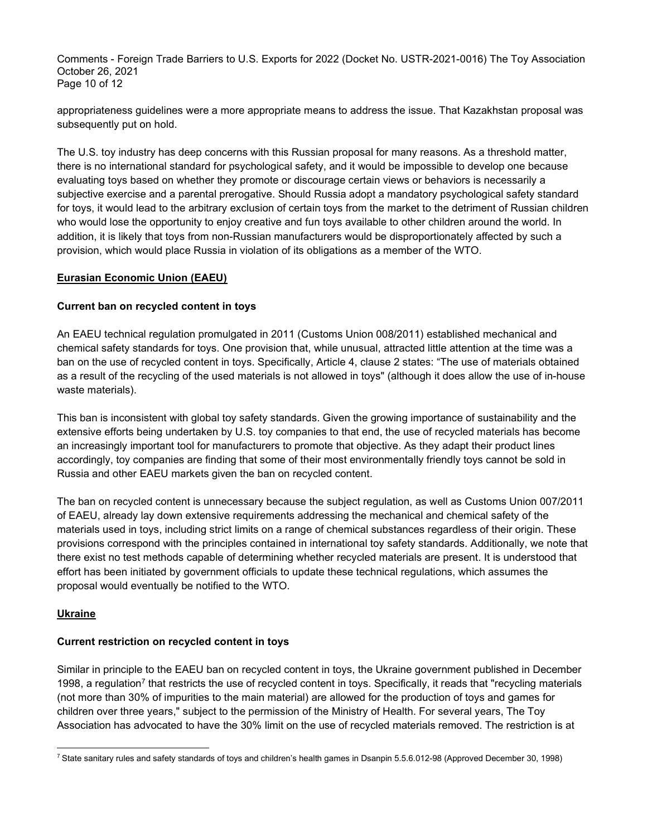Comments - Foreign Trade Barriers to U.S. Exports for 2022 (Docket No. USTR-2021-0016) The Toy Association October 26, 2021 Page 10 of 12

appropriateness guidelines were a more appropriate means to address the issue. That Kazakhstan proposal was subsequently put on hold.

The U.S. toy industry has deep concerns with this Russian proposal for many reasons. As a threshold matter, there is no international standard for psychological safety, and it would be impossible to develop one because evaluating toys based on whether they promote or discourage certain views or behaviors is necessarily a subjective exercise and a parental prerogative. Should Russia adopt a mandatory psychological safety standard for toys, it would lead to the arbitrary exclusion of certain toys from the market to the detriment of Russian children who would lose the opportunity to enjoy creative and fun toys available to other children around the world. In addition, it is likely that toys from non-Russian manufacturers would be disproportionately affected by such a provision, which would place Russia in violation of its obligations as a member of the WTO.

### Eurasian Economic Union (EAEU)

#### Current ban on recycled content in toys

An EAEU technical regulation promulgated in 2011 (Customs Union 008/2011) established mechanical and chemical safety standards for toys. One provision that, while unusual, attracted little attention at the time was a ban on the use of recycled content in toys. Specifically, Article 4, clause 2 states: "The use of materials obtained as a result of the recycling of the used materials is not allowed in toys" (although it does allow the use of in-house waste materials).

This ban is inconsistent with global toy safety standards. Given the growing importance of sustainability and the extensive efforts being undertaken by U.S. toy companies to that end, the use of recycled materials has become an increasingly important tool for manufacturers to promote that objective. As they adapt their product lines accordingly, toy companies are finding that some of their most environmentally friendly toys cannot be sold in Russia and other EAEU markets given the ban on recycled content.

The ban on recycled content is unnecessary because the subject regulation, as well as Customs Union 007/2011 of EAEU, already lay down extensive requirements addressing the mechanical and chemical safety of the materials used in toys, including strict limits on a range of chemical substances regardless of their origin. These provisions correspond with the principles contained in international toy safety standards. Additionally, we note that there exist no test methods capable of determining whether recycled materials are present. It is understood that effort has been initiated by government officials to update these technical regulations, which assumes the proposal would eventually be notified to the WTO.

### Ukraine

### Current restriction on recycled content in toys

Similar in principle to the EAEU ban on recycled content in toys, the Ukraine government published in December 1998, a regulation<sup>7</sup> that restricts the use of recycled content in toys. Specifically, it reads that "recycling materials (not more than 30% of impurities to the main material) are allowed for the production of toys and games for children over three years," subject to the permission of the Ministry of Health. For several years, The Toy Association has advocated to have the 30% limit on the use of recycled materials removed. The restriction is at

<sup>7</sup> State sanitary rules and safety standards of toys and children's health games in Dsanpin 5.5.6.012-98 (Approved December 30, 1998)